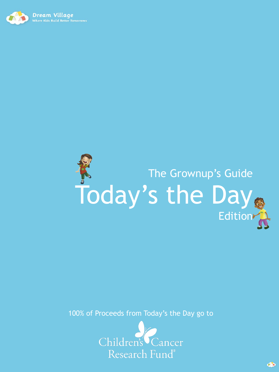



100% of Proceeds from Today's the Day go to



 $\triangle$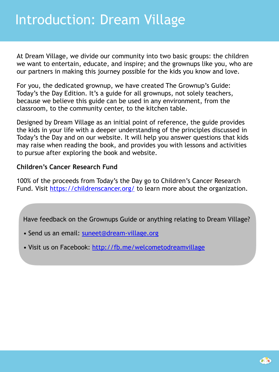At Dream Village, we divide our community into two basic groups: the children we want to entertain, educate, and inspire; and the grownups like you, who are our partners in making this journey possible for the kids you know and love.

For you, the dedicated grownup, we have created The Grownup's Guide: Today's the Day Edition. It's a guide for all grownups, not solely teachers, because we believe this guide can be used in any environment, from the classroom, to the community center, to the kitchen table.

Designed by Dream Village as an initial point of reference, the guide provides the kids in your life with a deeper understanding of the principles discussed in Today's the Day and on our website. It will help you answer questions that kids may raise when reading the book, and provides you with lessons and activities to pursue after exploring the book and website.

### **Children's Cancer Research Fund**

100% of the proceeds from Today's the Day go to Children's Cancer Research Fund. Visit<https://childrenscancer.org/>to learn more about the organization.

Have feedback on the Grownups Guide or anything relating to Dream Village?

- Send us an email: [suneet@dream-village.org](mailto:suneet@dream-village.org)
- Visit us on Facebook: <http://fb.me/welcometodreamvillage>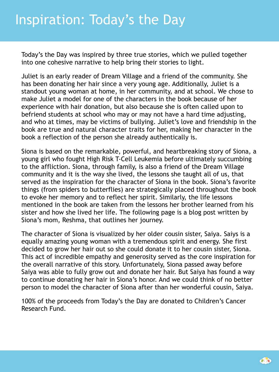Today's the Day was inspired by three true stories, which we pulled together into one cohesive narrative to help bring their stories to light.

Juliet is an early reader of Dream Village and a friend of the community. She has been donating her hair since a very young age. Additionally, Juliet is a standout young woman at home, in her community, and at school. We chose to make Juliet a model for one of the characters in the book because of her experience with hair donation, but also because she is often called upon to befriend students at school who may or may not have a hard time adjusting, and who at times, may be victims of bullying. Juliet's love and friendship in the book are true and natural character traits for her, making her character in the book a reflection of the person she already authentically is.

Siona is based on the remarkable, powerful, and heartbreaking story of Siona, a young girl who fought High Risk T-Cell Leukemia before ultimately succumbing to the affliction. Siona, through family, is also a friend of the Dream Village community and it is the way she lived, the lessons she taught all of us, that served as the inspiration for the character of Siona in the book. Siona's favorite things (from spiders to butterflies) are strategically placed throughout the book to evoke her memory and to reflect her spirit. Similarly, the life lessons mentioned in the book are taken from the lessons her brother learned from his sister and how she lived her life. The following page is a blog post written by Siona's mom, Reshma, that outlines her journey.

The character of Siona is visualized by her older cousin sister, Saiya. Saiys is a equally amazing young woman with a tremendous spirit and energy. She first decided to grow her hair out so she could donate it to her cousin sister, Siona. This act of incredible empathy and generosity served as the core inspiration for the overall narrative of this story. Unfortunately, Siona passed away before Saiya was able to fully grow out and donate her hair. But Saiya has found a way to continue donating her hair in Siona's honor. And we could think of no better person to model the character of Siona after than her wonderful cousin, Saiya.

100% of the proceeds from Today's the Day are donated to Children's Cancer Research Fund.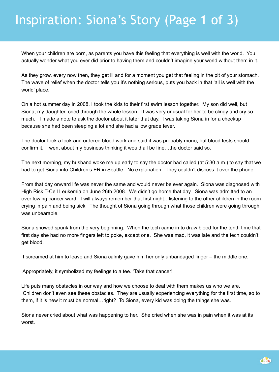# Inspiration: Siona's Story (Page 1 of 3)

When your children are born, as parents you have this feeling that everything is well with the world. You actually wonder what you ever did prior to having them and couldn't imagine your world without them in it.

As they grow, every now then, they get ill and for a moment you get that feeling in the pit of your stomach. The wave of relief when the doctor tells you it's nothing serious, puts you back in that 'all is well with the world' place.

On a hot summer day in 2008, I took the kids to their first swim lesson together. My son did well, but Siona, my daughter, cried through the whole lesson. It was very unusual for her to be clingy and cry so much. I made a note to ask the doctor about it later that day. I was taking Siona in for a checkup because she had been sleeping a lot and she had a low grade fever.

The doctor took a look and ordered blood work and said it was probably mono, but blood tests should confirm it. I went about my business thinking it would all be fine…the doctor said so.

The next morning, my husband woke me up early to say the doctor had called (at 5:30 a.m.) to say that we had to get Siona into Children's ER in Seattle. No explanation. They couldn't discuss it over the phone.

From that day onward life was never the same and would never be ever again. Siona was diagnosed with High Risk T-Cell Leukemia on June 26th 2008. We didn't go home that day. Siona was admitted to an overflowing cancer ward. I will always remember that first night…listening to the other children in the room crying in pain and being sick. The thought of Siona going through what those children were going through was unbearable.

Siona showed spunk from the very beginning. When the tech came in to draw blood for the tenth time that first day she had no more fingers left to poke, except one. She was mad, it was late and the tech couldn't get blood.

I screamed at him to leave and Siona calmly gave him her only unbandaged finger – the middle one.

Appropriately, it symbolized my feelings to a tee. 'Take that cancer!'

Life puts many obstacles in our way and how we choose to deal with them makes us who we are. Children don't even see these obstacles. They are usually experiencing everything for the first time, so to them, if it is new it must be normal…right? To Siona, every kid was doing the things she was.

Siona never cried about what was happening to her. She cried when she was in pain when it was at its worst.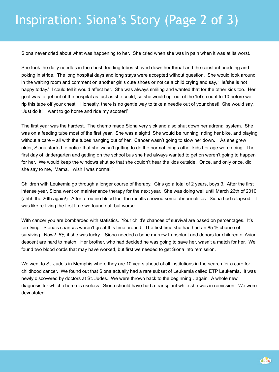# Inspiration: Siona's Story (Page 2 of 3)

Siona never cried about what was happening to her. She cried when she was in pain when it was at its worst.

She took the daily needles in the chest, feeding tubes shoved down her throat and the constant prodding and poking in stride. The long hospital days and long stays were accepted without question. She would look around in the waiting room and comment on another girl's cute shoes or notice a child crying and say, 'He/she is not happy today.' I could tell it would affect her. She was always smiling and wanted that for the other kids too. Her goal was to get out of the hospital as fast as she could, so she would opt out of the 'let's count to 10 before we rip this tape off your chest'. Honestly, there is no gentle way to take a needle out of your chest! She would say, 'Just do it! I want to go home and ride my scooter!'

The first year was the hardest. The chemo made Siona very sick and also shut down her adrenal system. She was on a feeding tube most of the first year. She was a sight! She would be running, riding her bike, and playing without a care – all with the tubes hanging out of her. Cancer wasn't going to slow her down. As she grew older, Siona started to notice that she wasn't getting to do the normal things other kids her age were doing. The first day of kindergarten and getting on the school bus she had always wanted to get on weren't going to happen for her. We would keep the windows shut so that she couldn't hear the kids outside. Once, and only once, did she say to me, 'Mama, I wish I was normal.'

Children with Leukemia go through a longer course of therapy. Girls go a total of 2 years, boys 3. After the first intense year, Siona went on maintenance therapy for the next year. She was doing well until March 26th of 2010 (ahhh the 26th again!). After a routine blood test the results showed some abnormalities. Siona had relapsed. It was like re-living the first time we found out, but worse.

With cancer you are bombarded with statistics. Your child's chances of survival are based on percentages. It's terrifying. Siona's chances weren't great this time around. The first time she had had an 85 % chance of surviving. Now? 5% if she was lucky. Siona needed a bone marrow transplant and donors for children of Asian descent are hard to match. Her brother, who had decided he was going to save her, wasn't a match for her. We found two blood cords that may have worked, but first we needed to get Siona into remission.

We went to St. Jude's in Memphis where they are 10 years ahead of all institutions in the search for a cure for childhood cancer. We found out that Siona actually had a rare subset of Leukemia called ETP Leukemia. It was newly discovered by doctors at St. Judes. We were thrown back to the beginning…again. A whole new diagnosis for which chemo is useless. Siona should have had a transplant while she was in remission. We were devastated.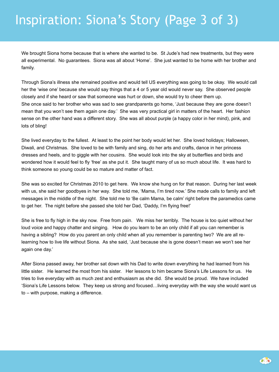# Inspiration: Siona's Story (Page 3 of 3)

We brought Siona home because that is where she wanted to be. St Jude's had new treatments, but they were all experimental. No guarantees. Siona was all about 'Home'. She just wanted to be home with her brother and family.

Through Siona's illness she remained positive and would tell US everything was going to be okay. We would call her the 'wise one' because she would say things that a 4 or 5 year old would never say. She observed people closely and if she heard or saw that someone was hurt or down, she would try to cheer them up. She once said to her brother who was sad to see grandparents go home, 'Just because they are gone doesn't mean that you won't see them again one day.' She was very practical girl in matters of the heart. Her fashion sense on the other hand was a different story. She was all about purple (a happy color in her mind), pink, and lots of bling!

She lived everyday to the fullest. At least to the point her body would let her. She loved holidays; Halloween, Diwali, and Christmas. She loved to be with family and sing, do her arts and crafts, dance in her princess dresses and heels, and to giggle with her cousins. She would look into the sky at butterflies and birds and wondered how it would feel to fly 'free' as she put it. She taught many of us so much about life. It was hard to think someone so young could be so mature and matter of fact.

She was so excited for Christmas 2010 to get here. We know she hung on for that reason. During her last week with us, she said her goodbyes in her way. She told me, 'Mama, I'm tired now.' She made calls to family and left messages in the middle of the night. She told me to 'Be calm Mama, be calm' right before the paramedics came to get her. The night before she passed she told her Dad, 'Daddy, I'm flying free!'

She is free to fly high in the sky now. Free from pain. We miss her terribly. The house is too quiet without her loud voice and happy chatter and singing. How do you learn to be an only child if all you can remember is having a sibling? How do you parent an only child when all you remember is parenting two? We are all relearning how to live life without Siona. As she said, 'Just because she is gone doesn't mean we won't see her again one day.'

After Siona passed away, her brother sat down with his Dad to write down everything he had learned from his little sister. He learned the most from his sister. Her lessons to him became Siona's Life Lessons for us. He tries to live everyday with as much zest and enthusiasm as she did. She would be proud. We have included 'Siona's Life Lessons below. They keep us strong and focused…living everyday with the way she would want us to – with purpose, making a difference.

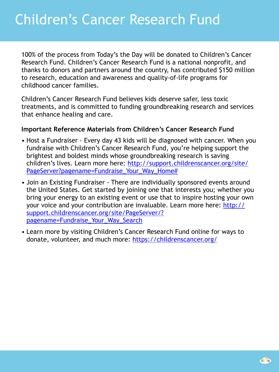100% of the process from Today's the Day will be donated to Children's Cancer Research Fund. Children's Cancer Research Fund is a national nonprofit, and thanks to donors and partners around the country, has contributed \$150 million to research, education and awareness and quality-of-life programs for childhood cancer families.

Children's Cancer Research Fund believes kids deserve safer, less toxic treatments, and is committed to funding groundbreaking research and services that enhance healing and care.

## **Important Reference Materials from Children's Cancer Research Fund**

- Host a Fundraiser Every day 43 kids will be diagnosed with cancer. When you fundraise with Children's Cancer Research Fund, you're helping support the brightest and boldest minds whose groundbreaking research is saving children's lives. Learn more here: [http://support.childrenscancer.org/site/](http://support.childrenscancer.org/site/PageServer?pagename=Fundraise_Your_Way_Home#) [PageServer?pagename=Fundraise\\_Your\\_Way\\_Home#](http://support.childrenscancer.org/site/PageServer?pagename=Fundraise_Your_Way_Home#)
- Join an Existing Fundraiser There are individually sponsored events around the United States. Get started by joining one that interests you; whether you bring your energy to an existing event or use that to inspire hosting your own your voice and your contribution are invaluable. Learn more here: [http://](http://support.childrenscancer.org/site/PageServer/?pagename=Fundraise_Your_Way_Search) [support.childrenscancer.org/site/PageServer/?](http://support.childrenscancer.org/site/PageServer/?pagename=Fundraise_Your_Way_Search) [pagename=Fundraise\\_Your\\_Way\\_Search](http://support.childrenscancer.org/site/PageServer/?pagename=Fundraise_Your_Way_Search)
- Learn more by visiting Children's Cancer Research Fund online for ways to donate, volunteer, and much more: <https://childrenscancer.org/>

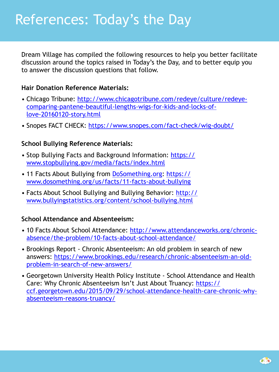Dream Village has compiled the following resources to help you better facilitate discussion around the topics raised in Today's the Day, and to better equip you to answer the discussion questions that follow.

#### **Hair Donation Reference Materials:**

- Chicago Tribune: [http://www.chicagotribune.com/redeye/culture/redeye](http://www.chicagotribune.com/redeye/culture/redeye-comparing-pantene-beautiful-lengths-wigs-for-kids-and-locks-of-love-20160120-story.html)[comparing-pantene-beautiful-lengths-wigs-for-kids-and-locks-of](http://www.chicagotribune.com/redeye/culture/redeye-comparing-pantene-beautiful-lengths-wigs-for-kids-and-locks-of-love-20160120-story.html)[love-20160120-story.html](http://www.chicagotribune.com/redeye/culture/redeye-comparing-pantene-beautiful-lengths-wigs-for-kids-and-locks-of-love-20160120-story.html)
- Snopes FACT CHECK: <https://www.snopes.com/fact-check/wig-doubt/>

#### **School Bullying Reference Materials:**

- Stop Bullying Facts and Background Information: [https://](https://www.stopbullying.gov/media/facts/index.html) [www.stopbullying.gov/media/facts/index.html](https://www.stopbullying.gov/media/facts/index.html)
- 11 Facts About Bullying from [DoSomething.org](http://DoSomething.org): [https://](https://www.dosomething.org/us/facts/11-facts-about-bullying) [www.dosomething.org/us/facts/11-facts-about-bullying](https://www.dosomething.org/us/facts/11-facts-about-bullying)
- Facts About School Bullying and Bullying Behavior: [http://](http://www.bullyingstatistics.org/content/school-bullying.html) [www.bullyingstatistics.org/content/school-bullying.html](http://www.bullyingstatistics.org/content/school-bullying.html)

#### **School Attendance and Absenteeism:**

- 10 Facts About School Attendance: [http://www.attendanceworks.org/chronic](http://www.attendanceworks.org/chronic-absence/the-problem/10-facts-about-school-attendance/)[absence/the-problem/10-facts-about-school-attendance/](http://www.attendanceworks.org/chronic-absence/the-problem/10-facts-about-school-attendance/)
- Brookings Report Chronic Absenteeism: An old problem in search of new answers: [https://www.brookings.edu/research/chronic-absenteeism-an-old](https://www.brookings.edu/research/chronic-absenteeism-an-old-problem-in-search-of-new-answers/)[problem-in-search-of-new-answers/](https://www.brookings.edu/research/chronic-absenteeism-an-old-problem-in-search-of-new-answers/)
- Georgetown University Health Policy Institute School Attendance and Health Care: Why Chronic Absenteeism Isn't Just About Truancy: [https://](https://ccf.georgetown.edu/2015/09/29/school-attendance-health-care-chronic-why-absenteeism-reasons-truancy/) [ccf.georgetown.edu/2015/09/29/school-attendance-health-care-chronic-why](https://ccf.georgetown.edu/2015/09/29/school-attendance-health-care-chronic-why-absenteeism-reasons-truancy/)[absenteeism-reasons-truancy/](https://ccf.georgetown.edu/2015/09/29/school-attendance-health-care-chronic-why-absenteeism-reasons-truancy/)